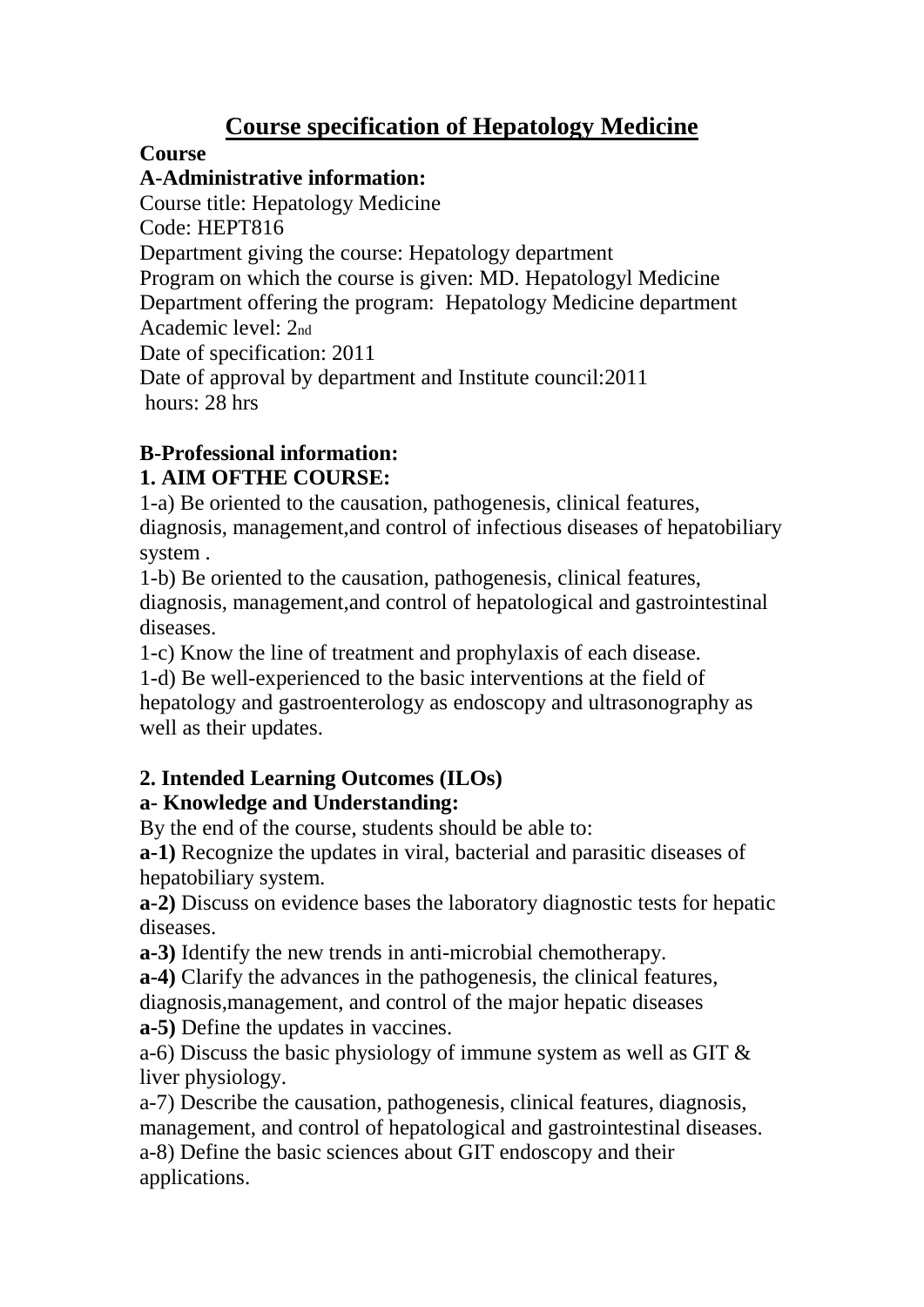# **Course specification of Hepatology Medicine**

### **Course**

### **A-Administrative information:**

Course title: Hepatology Medicine Code: HEPT816 Department giving the course: Hepatology department Program on which the course is given: MD. Hepatologyl Medicine Department offering the program: Hepatology Medicine department Academic level: 2nd Date of specification: 2011 Date of approval by department and Institute council:2011 hours: 28 hrs

# **B-Professional information:**

### **1. AIM OFTHE COURSE:**

1-a) Be oriented to the causation, pathogenesis, clinical features, diagnosis, management,and control of infectious diseases of hepatobiliary system .

1-b) Be oriented to the causation, pathogenesis, clinical features, diagnosis, management,and control of hepatological and gastrointestinal diseases.

1-c) Know the line of treatment and prophylaxis of each disease.

1-d) Be well-experienced to the basic interventions at the field of hepatology and gastroenterology as endoscopy and ultrasonography as well as their updates.

# **2. Intended Learning Outcomes (ILOs)**

# **a- Knowledge and Understanding:**

By the end of the course, students should be able to:

**a-1)** Recognize the updates in viral, bacterial and parasitic diseases of hepatobiliary system.

**a-2)** Discuss on evidence bases the laboratory diagnostic tests for hepatic diseases.

**a-3)** Identify the new trends in anti-microbial chemotherapy.

**a-4)** Clarify the advances in the pathogenesis, the clinical features,

diagnosis,management, and control of the major hepatic diseases **a-5)** Define the updates in vaccines.

a-6) Discuss the basic physiology of immune system as well as GIT & liver physiology.

a-7) Describe the causation, pathogenesis, clinical features, diagnosis, management, and control of hepatological and gastrointestinal diseases. a-8) Define the basic sciences about GIT endoscopy and their applications.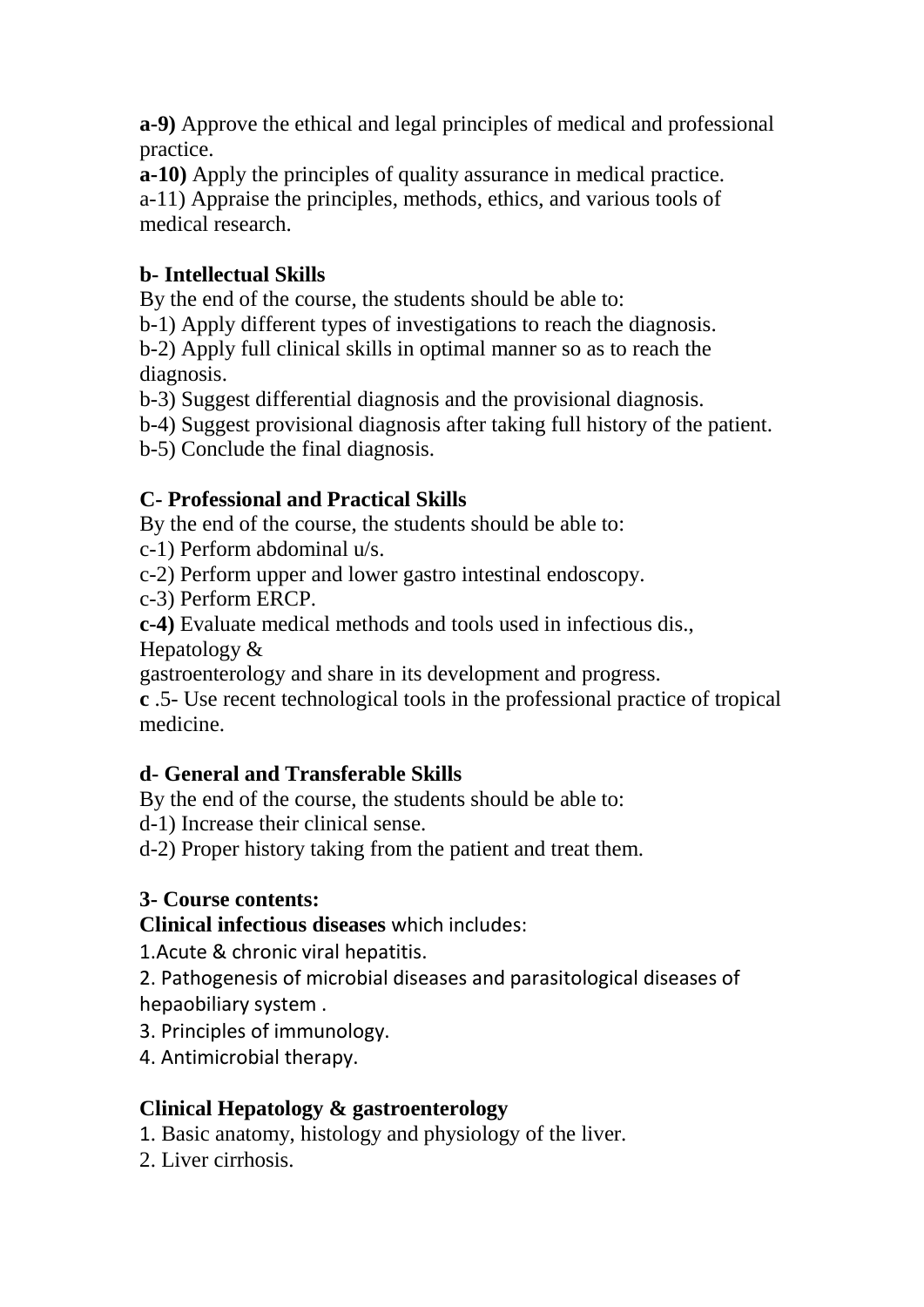**a-9)** Approve the ethical and legal principles of medical and professional practice.

**a-10)** Apply the principles of quality assurance in medical practice. a-11) Appraise the principles, methods, ethics, and various tools of medical research.

### **b- Intellectual Skills**

By the end of the course, the students should be able to:

b-1) Apply different types of investigations to reach the diagnosis.

b-2) Apply full clinical skills in optimal manner so as to reach the diagnosis.

b-3) Suggest differential diagnosis and the provisional diagnosis.

b-4) Suggest provisional diagnosis after taking full history of the patient.

b-5) Conclude the final diagnosis.

# **C- Professional and Practical Skills**

By the end of the course, the students should be able to:

c-1) Perform abdominal u/s.

c-2) Perform upper and lower gastro intestinal endoscopy.

c-3) Perform ERCP.

**c-4)** Evaluate medical methods and tools used in infectious dis.,

Hepatology &

gastroenterology and share in its development and progress.

**c** .5- Use recent technological tools in the professional practice of tropical medicine.

# **d- General and Transferable Skills**

By the end of the course, the students should be able to:

d-1) Increase their clinical sense.

d-2) Proper history taking from the patient and treat them.

### **3- Course contents:**

**Clinical infectious diseases** which includes:

1.Acute & chronic viral hepatitis.

2. Pathogenesis of microbial diseases and parasitological diseases of hepaobiliary system .

3. Principles of immunology.

4. Antimicrobial therapy.

# **Clinical Hepatology & gastroenterology**

1. Basic anatomy, histology and physiology of the liver.

2. Liver cirrhosis.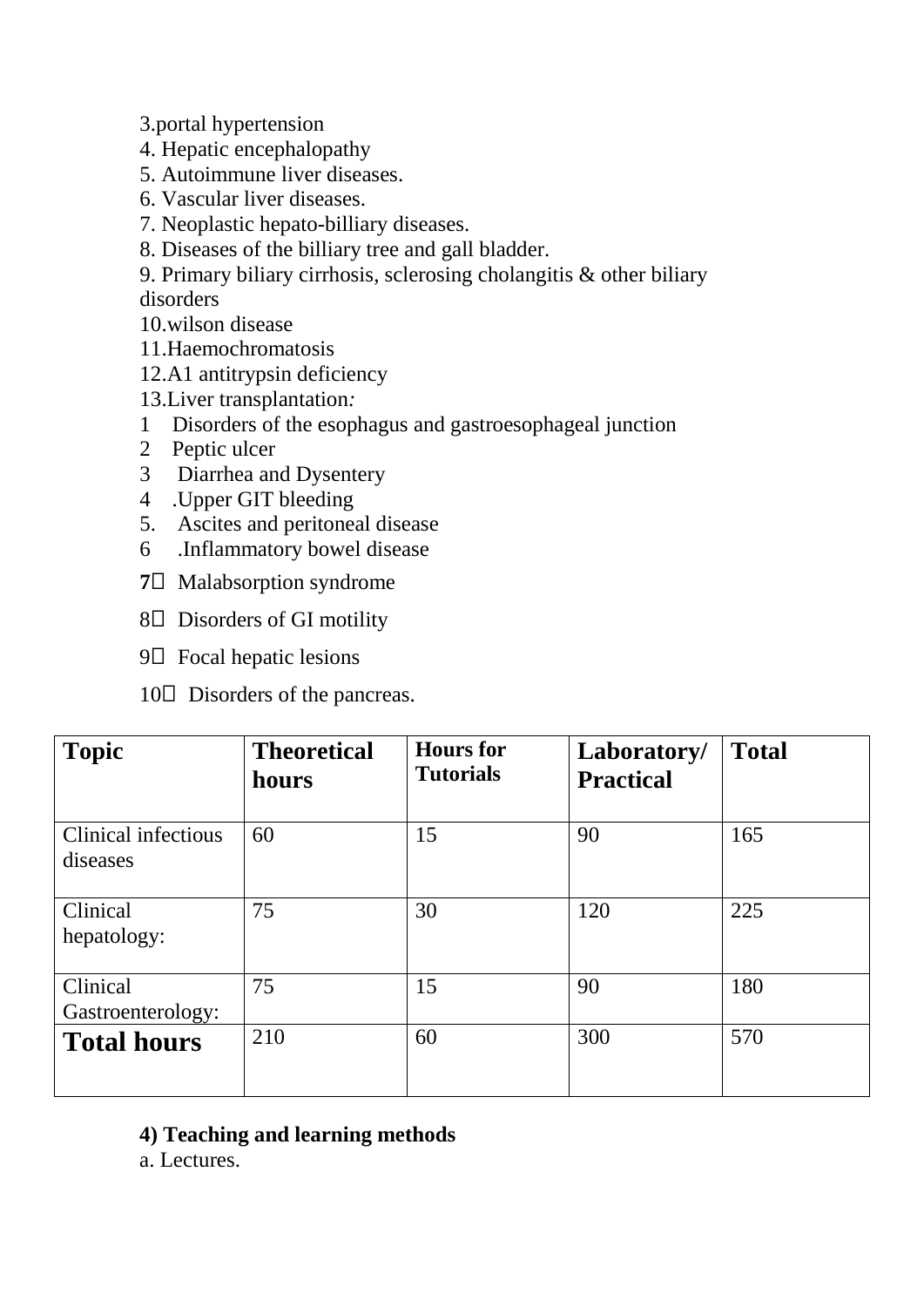3.portal hypertension

- 4. Hepatic encephalopathy
- 5. Autoimmune liver diseases.
- 6. Vascular liver diseases.
- 7. Neoplastic hepato-billiary diseases.
- 8. Diseases of the billiary tree and gall bladder.
- 9. Primary biliary cirrhosis, sclerosing cholangitis & other biliary disorders
- 10.wilson disease
- 11.Haemochromatosis
- 12.A1 antitrypsin deficiency
- 13.Liver transplantation*:*
- 1 Disorders of the esophagus and gastroesophageal junction
- 2 Peptic ulcer
- 3 Diarrhea and Dysentery
- 4 .Upper GIT bleeding
- 5. Ascites and peritoneal disease
- 6 .Inflammatory bowel disease
- **7** $\Box$  Malabsorption syndrome
- 8 $\square$  Disorders of GI motility
- $9\Box$  Focal hepatic lesions
- $10\Box$  Disorders of the pancreas.

| <b>Topic</b>                    | <b>Theoretical</b><br>hours | <b>Hours</b> for<br><b>Tutorials</b> | Laboratory/<br><b>Practical</b> | <b>Total</b> |
|---------------------------------|-----------------------------|--------------------------------------|---------------------------------|--------------|
| Clinical infectious<br>diseases | 60                          | 15                                   | 90                              | 165          |
| Clinical<br>hepatology:         | 75                          | 30                                   | 120                             | 225          |
| Clinical<br>Gastroenterology:   | 75                          | 15                                   | 90                              | 180          |
| <b>Total hours</b>              | 210                         | 60                                   | 300                             | 570          |

#### **4) Teaching and learning methods**

a. Lectures.